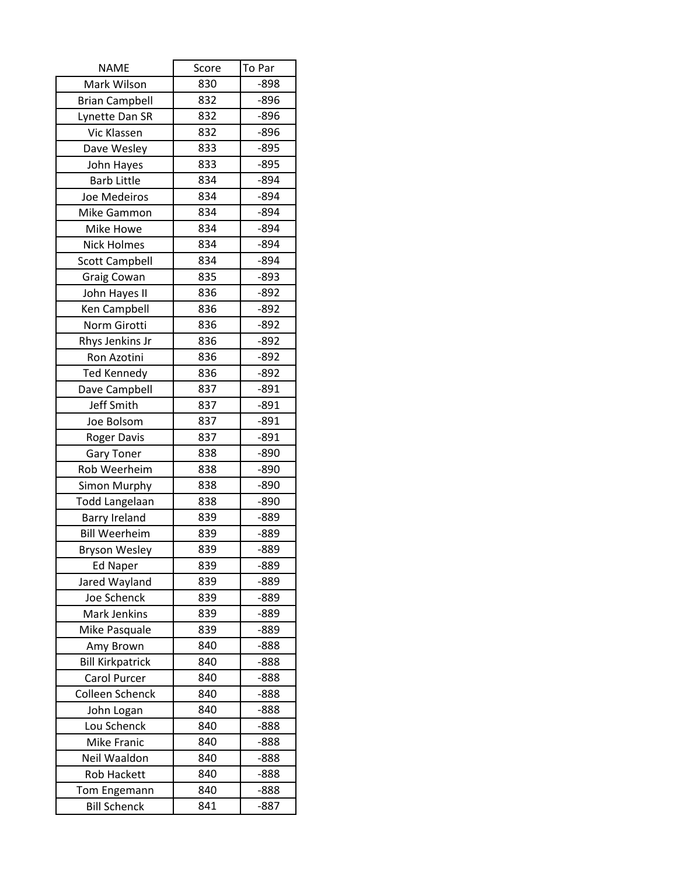| <b>NAME</b>             | Score | To Par |
|-------------------------|-------|--------|
| Mark Wilson             | 830   | $-898$ |
| <b>Brian Campbell</b>   | 832   | $-896$ |
| Lynette Dan SR          | 832   | $-896$ |
| Vic Klassen             | 832   | $-896$ |
| Dave Wesley             | 833   | $-895$ |
| John Hayes              | 833   | $-895$ |
| <b>Barb Little</b>      | 834   | $-894$ |
| Joe Medeiros            | 834   | $-894$ |
| Mike Gammon             | 834   | $-894$ |
| Mike Howe               | 834   | $-894$ |
| <b>Nick Holmes</b>      | 834   | $-894$ |
| <b>Scott Campbell</b>   | 834   | $-894$ |
| Graig Cowan             | 835   | $-893$ |
| John Hayes II           | 836   | $-892$ |
| Ken Campbell            | 836   | $-892$ |
| Norm Girotti            | 836   | $-892$ |
| Rhys Jenkins Jr         | 836   | $-892$ |
| Ron Azotini             | 836   | $-892$ |
| <b>Ted Kennedy</b>      | 836   | $-892$ |
| Dave Campbell           | 837   | $-891$ |
| Jeff Smith              | 837   | $-891$ |
| Joe Bolsom              | 837   | $-891$ |
| <b>Roger Davis</b>      | 837   | $-891$ |
| <b>Gary Toner</b>       | 838   | $-890$ |
| Rob Weerheim            | 838   | $-890$ |
| Simon Murphy            | 838   | $-890$ |
| Todd Langelaan          | 838   | $-890$ |
| <b>Barry Ireland</b>    | 839   | $-889$ |
| <b>Bill Weerheim</b>    | 839   | $-889$ |
| <b>Bryson Wesley</b>    | 839   | $-889$ |
| <b>Ed Naper</b>         | 839   | -889   |
| Jared Wayland           | 839   | $-889$ |
| Joe Schenck             | 839   | -889   |
| Mark Jenkins            | 839   | $-889$ |
| Mike Pasquale           | 839   | -889   |
| Amy Brown               | 840   | $-888$ |
| <b>Bill Kirkpatrick</b> | 840   | $-888$ |
| Carol Purcer            | 840   | $-888$ |
| Colleen Schenck         | 840   | $-888$ |
| John Logan              | 840   | -888   |
| Lou Schenck             | 840   | $-888$ |
| <b>Mike Franic</b>      | 840   | $-888$ |
| Neil Waaldon            | 840   | $-888$ |
| <b>Rob Hackett</b>      | 840   | $-888$ |
| Tom Engemann            | 840   | $-888$ |
| <b>Bill Schenck</b>     | 841   | $-887$ |